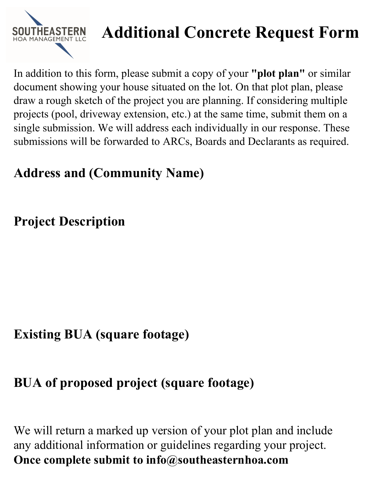

# **Additional Concrete Request Form**

In addition to this form, please submit a copy of your **"plot plan"** or similar document showing your house situated on the lot. On that plot plan, please draw a rough sketch of the project you are planning. If considering multiple projects (pool, driveway extension, etc.) at the same time, submit them on a single submission. We will address each individually in our response. These submissions will be forwarded to ARCs, Boards and Declarants as required.

### **Address and (Community Name)**

## **Project Description**

### **Existing BUA (square footage)**

### **BUA of proposed project (square footage)**

We will return a marked up version of your plot plan and include any additional information or guidelines regarding your project. **Once complete submit to info@southeasternhoa.com**